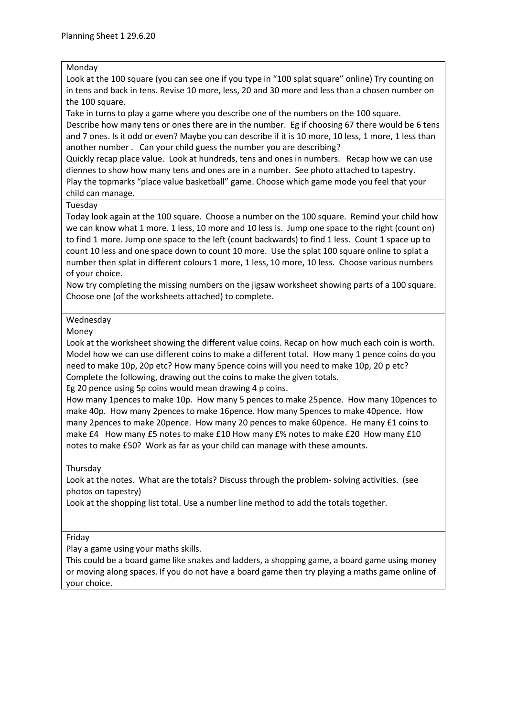## Monday

Look at the 100 square (you can see one if you type in "100 splat square" online) Try counting on in tens and back in tens. Revise 10 more, less, 20 and 30 more and less than a chosen number on the 100 square.

Take in turns to play a game where you describe one of the numbers on the 100 square. Describe how many tens or ones there are in the number. Eg if choosing 67 there would be 6 tens and 7 ones. Is it odd or even? Maybe you can describe if it is 10 more, 10 less, 1 more, 1 less than another number . Can your child guess the number you are describing?

Quickly recap place value. Look at hundreds, tens and ones in numbers. Recap how we can use diennes to show how many tens and ones are in a number. See photo attached to tapestry. Play the topmarks "place value basketball" game. Choose which game mode you feel that your child can manage.

## Tuesday

Today look again at the 100 square. Choose a number on the 100 square. Remind your child how we can know what 1 more. 1 less, 10 more and 10 less is. Jump one space to the right (count on) to find 1 more. Jump one space to the left (count backwards) to find 1 less. Count 1 space up to count 10 less and one space down to count 10 more. Use the splat 100 square online to splat a number then splat in different colours 1 more, 1 less, 10 more, 10 less. Choose various numbers of your choice.

Now try completing the missing numbers on the jigsaw worksheet showing parts of a 100 square. Choose one (of the worksheets attached) to complete.

## Wednesday

Money

Look at the worksheet showing the different value coins. Recap on how much each coin is worth. Model how we can use different coins to make a different total. How many 1 pence coins do you need to make 10p, 20p etc? How many 5pence coins will you need to make 10p, 20 p etc? Complete the following, drawing out the coins to make the given totals.

Eg 20 pence using 5p coins would mean drawing 4 p coins.

How many 1pences to make 10p. How many 5 pences to make 25pence. How many 10pences to make 40p. How many 2pences to make 16pence. How many 5pences to make 40pence. How many 2pences to make 20pence. How many 20 pences to make 60pence. He many £1 coins to make £4 How many £5 notes to make £10 How many £% notes to make £20 How many £10 notes to make £50? Work as far as your child can manage with these amounts.

Thursday

Look at the notes. What are the totals? Discuss through the problem- solving activities. (see photos on tapestry)

Look at the shopping list total. Use a number line method to add the totals together.

## Friday

Play a game using your maths skills.

This could be a board game like snakes and ladders, a shopping game, a board game using money or moving along spaces. If you do not have a board game then try playing a maths game online of your choice.